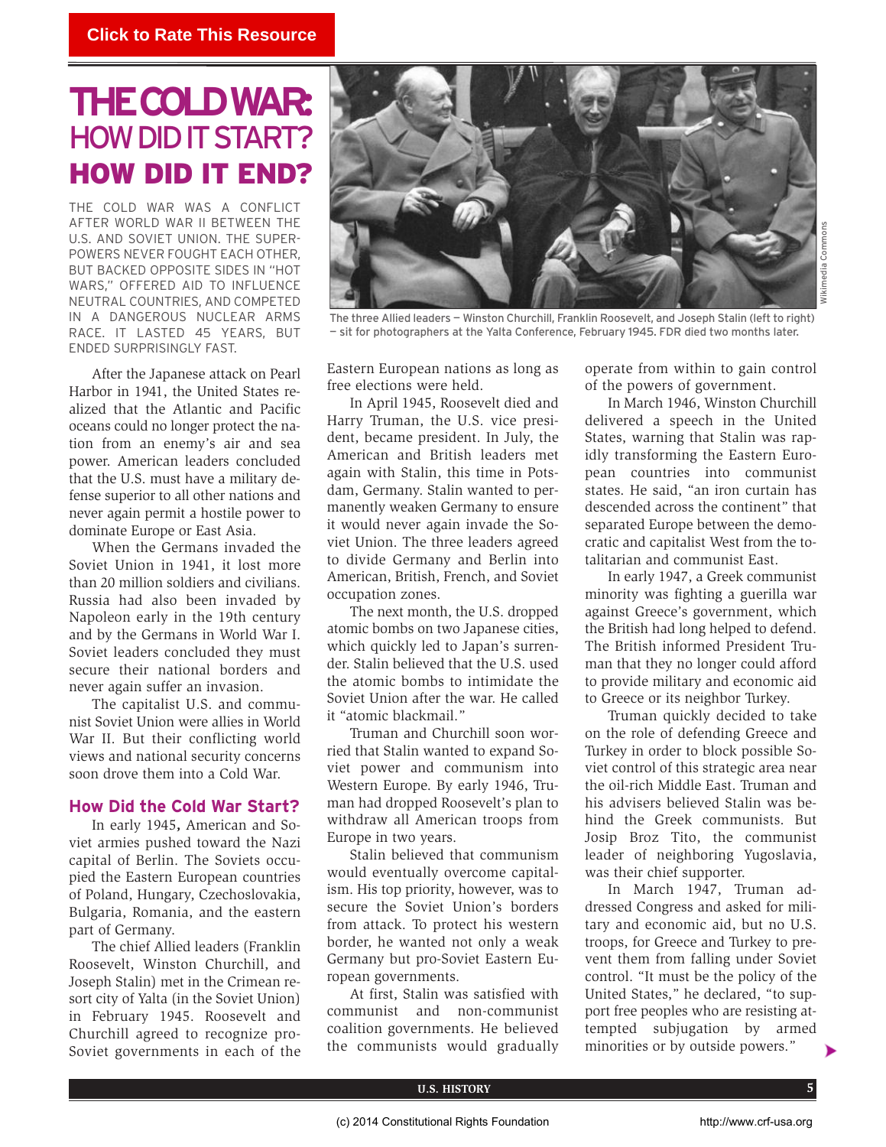# **THECOLDWAR: HOW DID IT START?** HOW DID IT END?

THE COLD WAR WAS A CONFLICT AFTER WORLD WAR II BETWEEN THE U.S. AND SOVIET UNION. THE SUPER-POWERS NEVER FOUGHT EACH OTHER, BUT BACKED OPPOSITE SIDES IN "HOT WARS," OFFERED AID TO INFLUENCE NEUTRAL COUNTRIES, AND COMPETED IN A DANGEROUS NUCLEAR ARMS RACE. IT LASTED 45 YEARS, BUT ENDED SURPRISINGLY FAST.

After the Japanese attack on Pearl Harbor in 1941, the United States realized that the Atlantic and Pacific oceans could no longer protect the nation from an enemy's air and sea power. American leaders concluded that the U.S. must have a military defense superior to all other nations and never again permit a hostile power to dominate Europe or East Asia.

When the Germans invaded the Soviet Union in 1941, it lost more than 20 million soldiers and civilians. Russia had also been invaded by Napoleon early in the 19th century and by the Germans in World War I. Soviet leaders concluded they must secure their national borders and never again suffer an invasion.

The capitalist U.S. and communist Soviet Union were allies in World War II. But their conflicting world views and national security concerns soon drove them into a Cold War.

## **How Did the Cold War Start?**

In early 1945**,** American and Soviet armies pushed toward the Nazi capital of Berlin. The Soviets occupied the Eastern European countries of Poland, Hungary, Czechoslovakia, Bulgaria, Romania, and the eastern part of Germany.

The chief Allied leaders (Franklin Roosevelt, Winston Churchill, and Joseph Stalin) met in the Crimean resort city of Yalta (in the Soviet Union) in February 1945. Roosevelt and Churchill agreed to recognize pro-Soviet governments in each of the



The three Allied leaders — Winston Churchill, Franklin Roosevelt, and Joseph Stalin (left to right) — sit for photographers at the Yalta Conference, February 1945. FDR died two months later.

Eastern European nations as long as free elections were held.

In April 1945, Roosevelt died and Harry Truman, the U.S. vice president, became president. In July, the American and British leaders met again with Stalin, this time in Potsdam, Germany. Stalin wanted to permanently weaken Germany to ensure it would never again invade the Soviet Union. The three leaders agreed to divide Germany and Berlin into American, British, French, and Soviet occupation zones.

The next month, the U.S. dropped atomic bombs on two Japanese cities, which quickly led to Japan's surrender. Stalin believed that the U.S. used the atomic bombs to intimidate the Soviet Union after the war. He called it "atomic blackmail."

Truman and Churchill soon worried that Stalin wanted to expand Soviet power and communism into Western Europe. By early 1946, Truman had dropped Roosevelt's plan to withdraw all American troops from Europe in two years.

Stalin believed that communism would eventually overcome capitalism. His top priority, however, was to secure the Soviet Union's borders from attack. To protect his western border, he wanted not only a weak Germany but pro-Soviet Eastern European governments.

At first, Stalin was satisfied with communist and non-communist coalition governments. He believed the communists would gradually operate from within to gain control of the powers of government.

In March 1946, Winston Churchill delivered a speech in the United States, warning that Stalin was rapidly transforming the Eastern European countries into communist states. He said, "an iron curtain has descended across the continent" that separated Europe between the democratic and capitalist West from the totalitarian and communist East.

In early 1947, a Greek communist minority was fighting a guerilla war against Greece's government, which the British had long helped to defend. The British informed President Truman that they no longer could afford to provide military and economic aid to Greece or its neighbor Turkey.

Truman quickly decided to take on the role of defending Greece and Turkey in order to block possible Soviet control of this strategic area near the oil-rich Middle East. Truman and his advisers believed Stalin was behind the Greek communists. But Josip Broz Tito, the communist leader of neighboring Yugoslavia, was their chief supporter.

In March 1947, Truman addressed Congress and asked for military and economic aid, but no U.S. troops, for Greece and Turkey to prevent them from falling under Soviet control. "It must be the policy of the United States," he declared, "to support free peoples who are resisting attempted subjugation by armed minorities or by outside powers."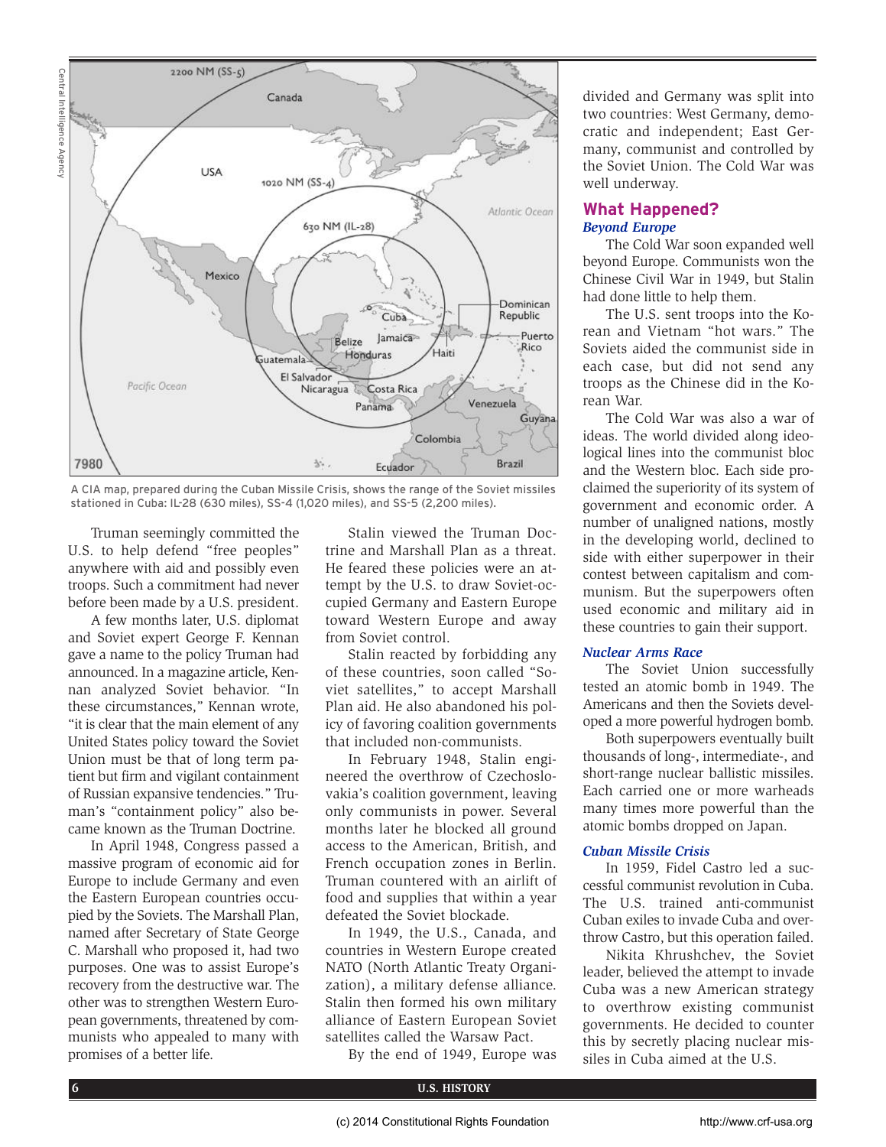

A CIA map, prepared during the Cuban Missile Crisis, shows the range of the Soviet missiles stationed in Cuba: IL-28 (630 miles), SS-4 (1,020 miles), and SS-5 (2,200 miles).

Truman seemingly committed the U.S. to help defend "free peoples" anywhere with aid and possibly even troops. Such a commitment had never before been made by a U.S. president.

A few months later, U.S. diplomat and Soviet expert George F. Kennan gave a name to the policy Truman had announced. In a magazine article, Kennan analyzed Soviet behavior. "In these circumstances," Kennan wrote, "it is clear that the main element of any United States policy toward the Soviet Union must be that of long term patient but firm and vigilant containment of Russian expansive tendencies." Truman's "containment policy" also became known as the Truman Doctrine.

In April 1948, Congress passed a massive program of economic aid for Europe to include Germany and even the Eastern European countries occupied by the Soviets. The Marshall Plan, named after Secretary of State George C. Marshall who proposed it, had two purposes. One was to assist Europe's recovery from the destructive war. The other was to strengthen Western European governments, threatened by communists who appealed to many with promises of a better life.

Stalin viewed the Truman Doctrine and Marshall Plan as a threat. He feared these policies were an attempt by the U.S. to draw Soviet-occupied Germany and Eastern Europe toward Western Europe and away from Soviet control.

Stalin reacted by forbidding any of these countries, soon called "Soviet satellites," to accept Marshall Plan aid. He also abandoned his policy of favoring coalition governments that included non-communists.

In February 1948, Stalin engineered the overthrow of Czechoslovakia's coalition government, leaving only communists in power. Several months later he blocked all ground access to the American, British, and French occupation zones in Berlin. Truman countered with an airlift of food and supplies that within a year defeated the Soviet blockade.

In 1949, the U.S., Canada, and countries in Western Europe created NATO (North Atlantic Treaty Organization), a military defense alliance. Stalin then formed his own military alliance of Eastern European Soviet satellites called the Warsaw Pact.

By the end of 1949, Europe was

divided and Germany was split into two countries: West Germany, democratic and independent; East Germany, communist and controlled by the Soviet Union. The Cold War was well underway.

## **What Happened?** *Beyond Europe*

The Cold War soon expanded well beyond Europe. Communists won the Chinese Civil War in 1949, but Stalin had done little to help them.

The U.S. sent troops into the Korean and Vietnam "hot wars." The Soviets aided the communist side in each case, but did not send any troops as the Chinese did in the Korean War.

The Cold War was also a war of ideas. The world divided along ideological lines into the communist bloc and the Western bloc. Each side proclaimed the superiority of its system of government and economic order. A number of unaligned nations, mostly in the developing world, declined to side with either superpower in their contest between capitalism and communism. But the superpowers often used economic and military aid in these countries to gain their support.

### *Nuclear Arms Race*

The Soviet Union successfully tested an atomic bomb in 1949. The Americans and then the Soviets developed a more powerful hydrogen bomb.

Both superpowers eventually built thousands of long-, intermediate-, and short-range nuclear ballistic missiles. Each carried one or more warheads many times more powerful than the atomic bombs dropped on Japan.

## *Cuban Missile Crisis*

In 1959, Fidel Castro led a successful communist revolution in Cuba. The U.S. trained anti-communist Cuban exiles to invade Cuba and overthrow Castro, but this operation failed.

Nikita Khrushchev, the Soviet leader, believed the attempt to invade Cuba was a new American strategy to overthrow existing communist governments. He decided to counter this by secretly placing nuclear missiles in Cuba aimed at the U.S.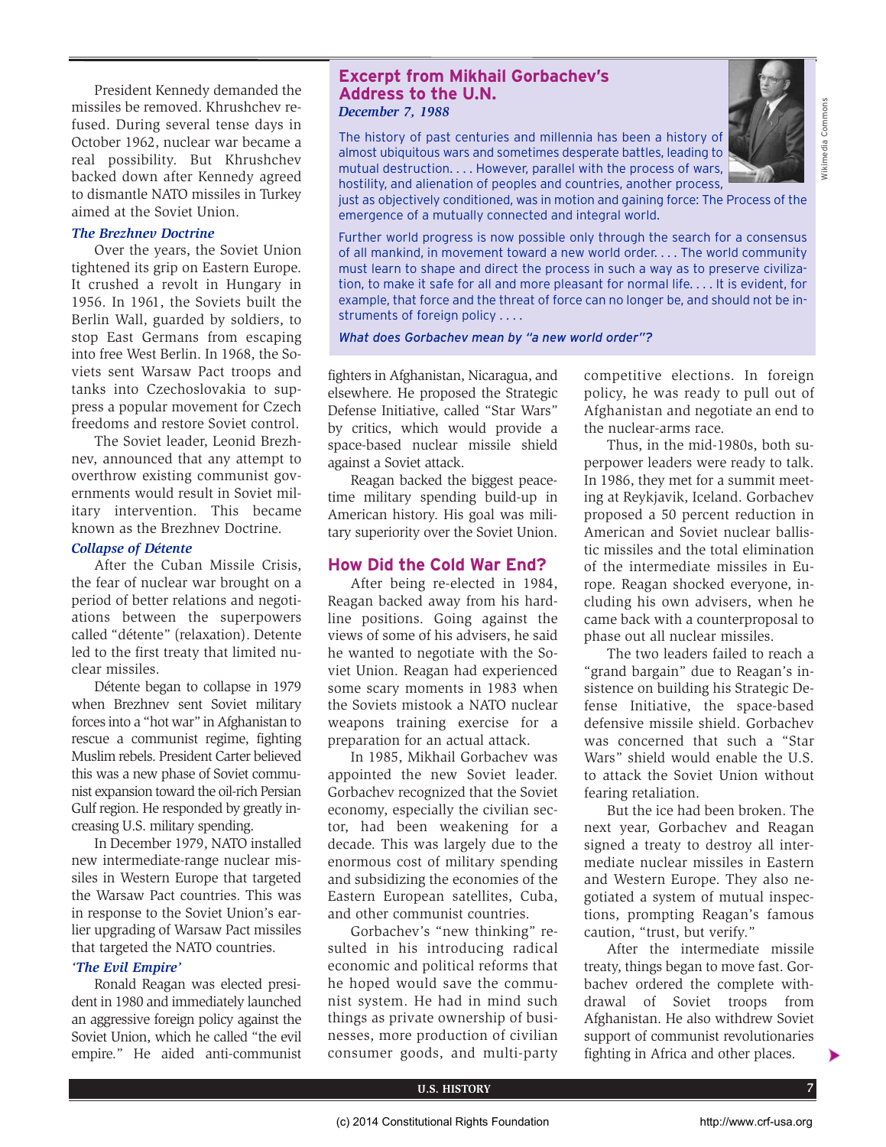President Kennedy demanded the missiles be removed. Khrushchev refused. During several tense days in October 1962, nuclear war became a real possibility. But Khrushchev backed down after Kennedy agreed to dismantle NATO missiles in Turkey aimed at the Soviet Union.

## *The Brezhnev Doctrine*

Over the years, the Soviet Union tightened its grip on Eastern Europe. It crushed a revolt in Hungary in 1956. In 1961, the Soviets built the Berlin Wall, guarded by soldiers, to stop East Germans from escaping into free West Berlin. In 1968, the Soviets sent Warsaw Pact troops and tanks into Czechoslovakia to suppress a popular movement for Czech freedoms and restore Soviet control.

The Soviet leader, Leonid Brezhnev, announced that any attempt to overthrow existing communist governments would result in Soviet military intervention. This became known as the Brezhnev Doctrine.

### *Collapse of Détente*

After the Cuban Missile Crisis, the fear of nuclear war brought on a period of better relations and negotiations between the superpowers called "détente" (relaxation). Detente led to the first treaty that limited nuclear missiles.

Détente began to collapse in 1979 when Brezhnev sent Soviet military forces into a "hot war" in Afghanistan to rescue a communist regime, fighting Muslim rebels. President Carter believed this was a new phase of Soviet communist expansion toward the oil-rich Persian Gulf region. He responded by greatly increasing U.S. military spending.

In December 1979, NATO installed new intermediate-range nuclear missiles in Western Europe that targeted the Warsaw Pact countries. This was in response to the Soviet Union's earlier upgrading of Warsaw Pact missiles that targeted the NATO countries.

## *'The Evil Empire'*

Ronald Reagan was elected president in 1980 and immediately launched an aggressive foreign policy against the Soviet Union, which he called "the evil empire." He aided anti-communist

## **Excerpt from Mikhail Gorbachev's Address to the U.N.** *December 7, 1988*

The history of past centuries and millennia has been a history of almost ubiquitous wars and sometimes desperate battles, leading to mutual destruction. . . . However, parallel with the process of wars, hostility, and alienation of peoples and countries, another process,



Wikimedia Commons

**Nikimedia Common** 

just as objectively conditioned, was in motion and gaining force: The Process of the emergence of a mutually connected and integral world.

Further world progress is now possible only through the search for a consensus of all mankind, in movement toward a new world order. . . . The world community must learn to shape and direct the process in such a way as to preserve civilization, to make it safe for all and more pleasant for normal life. . . . It is evident, for example, that force and the threat of force can no longer be, and should not be instruments of foreign policy . . . .

*What does Gorbachev mean by "a new world order"?*

fighters in Afghanistan, Nicaragua, and elsewhere. He proposed the Strategic Defense Initiative, called "Star Wars" by critics, which would provide a space-based nuclear missile shield against a Soviet attack.

Reagan backed the biggest peacetime military spending build-up in American history. His goal was military superiority over the Soviet Union.

## **How Did the Cold War End?**

After being re-elected in 1984, Reagan backed away from his hardline positions. Going against the views of some of his advisers, he said he wanted to negotiate with the Soviet Union. Reagan had experienced some scary moments in 1983 when the Soviets mistook a NATO nuclear weapons training exercise for a preparation for an actual attack.

In 1985, Mikhail Gorbachev was appointed the new Soviet leader. Gorbachev recognized that the Soviet economy, especially the civilian sector, had been weakening for a decade. This was largely due to the enormous cost of military spending and subsidizing the economies of the Eastern European satellites, Cuba, and other communist countries.

Gorbachev's "new thinking" resulted in his introducing radical economic and political reforms that he hoped would save the communist system. He had in mind such things as private ownership of businesses, more production of civilian consumer goods, and multi-party

competitive elections. In foreign policy, he was ready to pull out of Afghanistan and negotiate an end to the nuclear-arms race.

Thus, in the mid-1980s, both superpower leaders were ready to talk. In 1986, they met for a summit meeting at Reykjavik, Iceland. Gorbachev proposed a 50 percent reduction in American and Soviet nuclear ballistic missiles and the total elimination of the intermediate missiles in Europe. Reagan shocked everyone, including his own advisers, when he came back with a counterproposal to phase out all nuclear missiles.

The two leaders failed to reach a "grand bargain" due to Reagan's insistence on building his Strategic Defense Initiative, the space-based defensive missile shield. Gorbachev was concerned that such a "Star Wars" shield would enable the U.S. to attack the Soviet Union without fearing retaliation.

But the ice had been broken. The next year, Gorbachev and Reagan signed a treaty to destroy all intermediate nuclear missiles in Eastern and Western Europe. They also negotiated a system of mutual inspections, prompting Reagan's famous caution, "trust, but verify."

After the intermediate missile treaty, things began to move fast. Gorbachev ordered the complete withdrawal of Soviet troops from Afghanistan. He also withdrew Soviet support of communist revolutionaries fighting in Africa and other places.

▶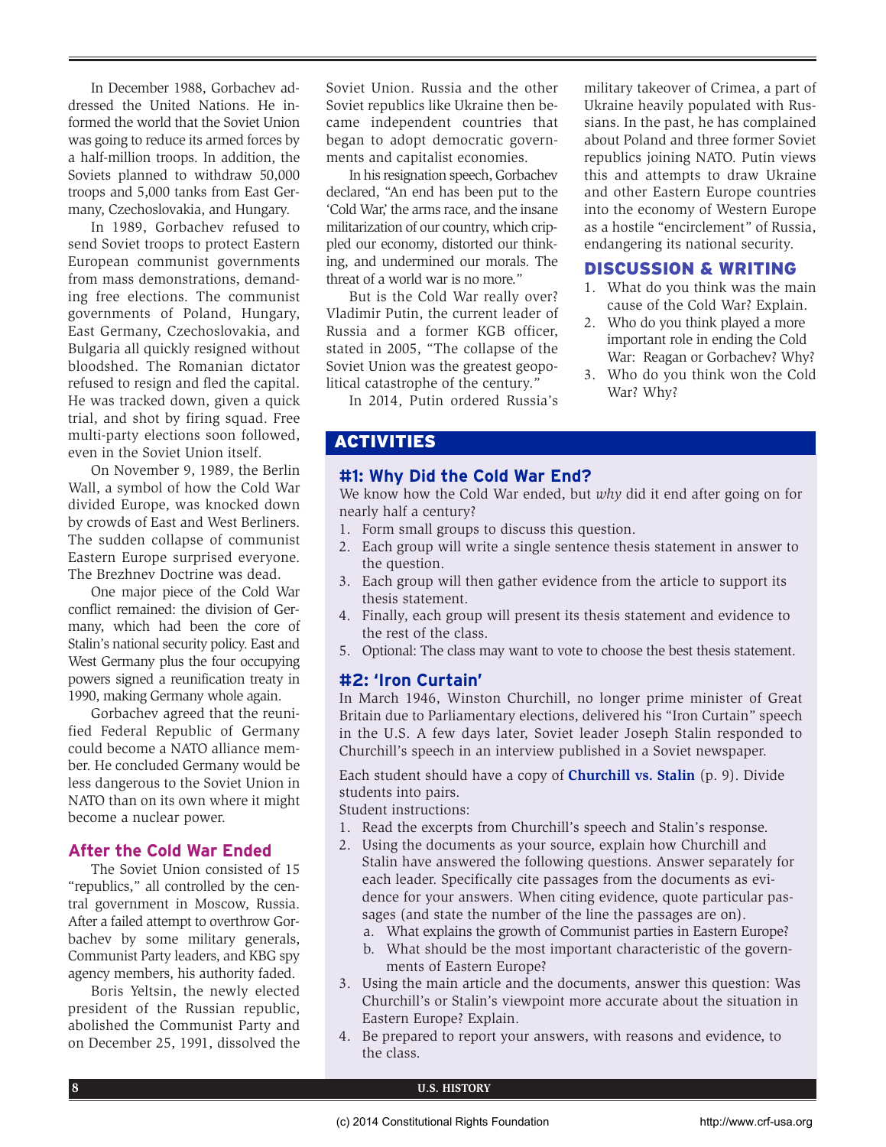In December 1988, Gorbachev addressed the United Nations. He informed the world that the Soviet Union was going to reduce its armed forces by a half-million troops. In addition, the Soviets planned to withdraw 50,000 troops and 5,000 tanks from East Germany, Czechoslovakia, and Hungary.

In 1989, Gorbachev refused to send Soviet troops to protect Eastern European communist governments from mass demonstrations, demanding free elections. The communist governments of Poland, Hungary, East Germany, Czechoslovakia, and Bulgaria all quickly resigned without bloodshed. The Romanian dictator refused to resign and fled the capital. He was tracked down, given a quick trial, and shot by firing squad. Free multi-party elections soon followed, even in the Soviet Union itself.

On November 9, 1989, the Berlin Wall, a symbol of how the Cold War divided Europe, was knocked down by crowds of East and West Berliners. The sudden collapse of communist Eastern Europe surprised everyone. The Brezhnev Doctrine was dead.

One major piece of the Cold War conflict remained: the division of Germany, which had been the core of Stalin's national security policy. East and West Germany plus the four occupying powers signed a reunification treaty in 1990, making Germany whole again.

Gorbachev agreed that the reunified Federal Republic of Germany could become a NATO alliance member. He concluded Germany would be less dangerous to the Soviet Union in NATO than on its own where it might become a nuclear power.

# **After the Cold War Ended**

The Soviet Union consisted of 15 "republics," all controlled by the central government in Moscow, Russia. After a failed attempt to overthrow Gorbachev by some military generals, Communist Party leaders, and KBG spy agency members, his authority faded.

Boris Yeltsin, the newly elected president of the Russian republic, abolished the Communist Party and on December 25, 1991, dissolved the

Soviet Union. Russia and the other Soviet republics like Ukraine then became independent countries that began to adopt democratic governments and capitalist economies.

In his resignation speech, Gorbachev declared, "An end has been put to the 'Cold War,' the arms race, and the insane militarization of our country, which crippled our economy, distorted our thinking, and undermined our morals. The threat of a world war is no more."

But is the Cold War really over? Vladimir Putin, the current leader of Russia and a former KGB officer, stated in 2005, "The collapse of the Soviet Union was the greatest geopolitical catastrophe of the century."

In 2014, Putin ordered Russia's

military takeover of Crimea, a part of Ukraine heavily populated with Russians. In the past, he has complained about Poland and three former Soviet republics joining NATO. Putin views this and attempts to draw Ukraine and other Eastern Europe countries into the economy of Western Europe as a hostile "encirclement" of Russia, endangering its national security.

# DISCUSSION & WRITING

- 1. What do you think was the main cause of the Cold War? Explain.
- 2. Who do you think played a more important role in ending the Cold War: Reagan or Gorbachev? Why?
- 3. Who do you think won the Cold War? Why?

# ACTIVITIES

# **#1: Why Did the Cold War End?**

We know how the Cold War ended, but *why* did it end after going on for nearly half a century?

- 1. Form small groups to discuss this question.
- 2. Each group will write a single sentence thesis statement in answer to the question.
- 3. Each group will then gather evidence from the article to support its thesis statement.
- 4. Finally, each group will present its thesis statement and evidence to the rest of the class.
- 5. Optional: The class may want to vote to choose the best thesis statement.

# **#2: 'Iron Curtain'**

In March 1946, Winston Churchill, no longer prime minister of Great Britain due to Parliamentary elections, delivered his "Iron Curtain" speech in the U.S. A few days later, Soviet leader Joseph Stalin responded to Churchill's speech in an interview published in a Soviet newspaper.

Each student should have a copy of **Churchill vs. Stalin** (p. 9). Divide students into pairs.

Student instructions:

- 1. Read the excerpts from Churchill's speech and Stalin's response.
- 2. Using the documents as your source, explain how Churchill and Stalin have answered the following questions. Answer separately for each leader. Specifically cite passages from the documents as evidence for your answers. When citing evidence, quote particular passages (and state the number of the line the passages are on).
	- a. What explains the growth of Communist parties in Eastern Europe?
	- b. What should be the most important characteristic of the governments of Eastern Europe?
- 3. Using the main article and the documents, answer this question: Was Churchill's or Stalin's viewpoint more accurate about the situation in Eastern Europe? Explain.
- 4. Be prepared to report your answers, with reasons and evidence, to the class.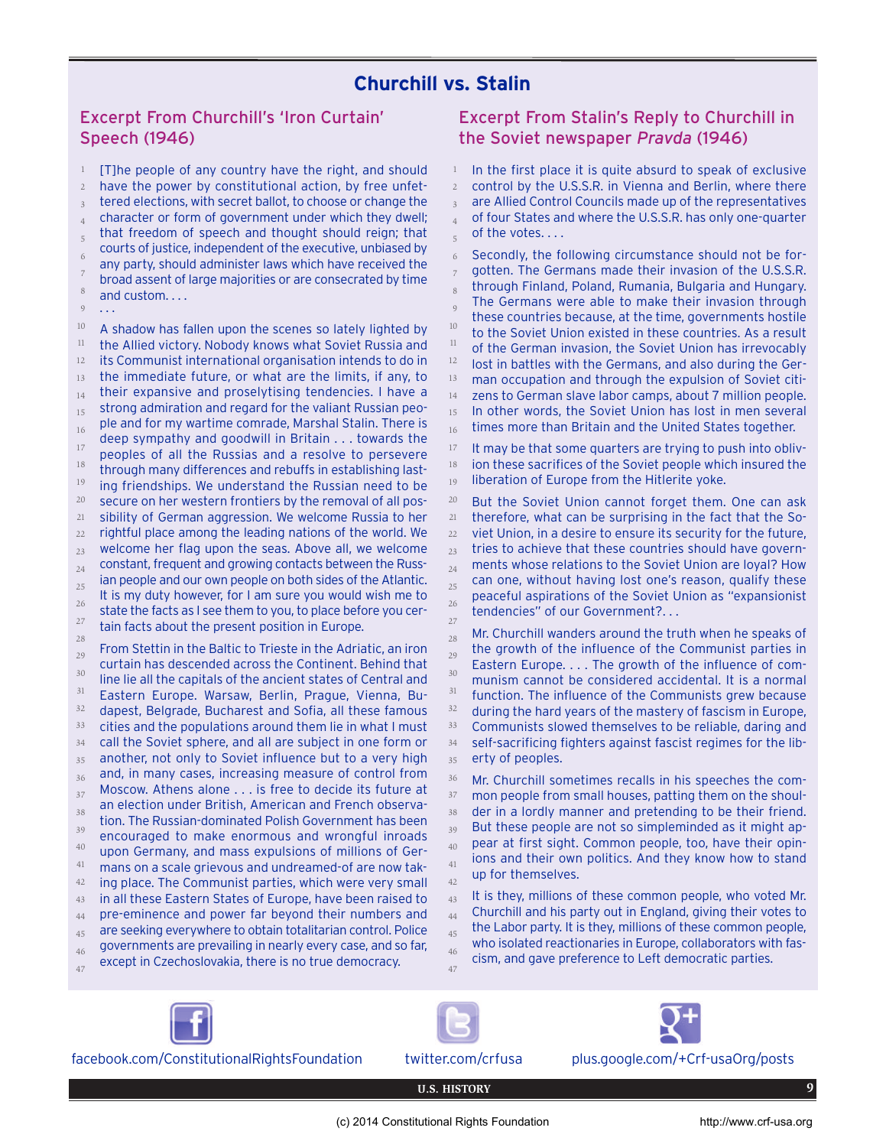# **Churchill vs. Stalin**

# Excerpt From Churchill's 'Iron Curtain' Speech (1946)

[T]he people of any country have the right, and should have the power by constitutional action, by free unfettered elections, with secret ballot, to choose or change the character or form of government under which they dwell; that freedom of speech and thought should reign; that courts of justice, independent of the executive, unbiased by any party, should administer laws which have received the broad assent of large majorities or are consecrated by time and custom. . . . 1 2 3 4 5 6 7 8

...  $\circ$ 

A shadow has fallen upon the scenes so lately lighted by the Allied victory. Nobody knows what Soviet Russia and its Communist international organisation intends to do in the immediate future, or what are the limits, if any, to their expansive and proselytising tendencies. I have a strong admiration and regard for the valiant Russian people and for my wartime comrade, Marshal Stalin. There is deep sympathy and goodwill in Britain . . . towards the peoples of all the Russias and a resolve to persevere through many differences and rebuffs in establishing lasting friendships. We understand the Russian need to be secure on her western frontiers by the removal of all possibility of German aggression. We welcome Russia to her rightful place among the leading nations of the world. We welcome her flag upon the seas. Above all, we welcome constant, frequent and growing contacts between the Russian people and our own people on both sides of the Atlantic. It is my duty however, for I am sure you would wish me to state the facts as I see them to you, to place before you certain facts about the present position in Europe. From Stettin in the Baltic to Trieste in the Adriatic, an iron curtain has descended across the Continent. Behind that line lie all the capitals of the ancient states of Central and Eastern Europe. Warsaw, Berlin, Prague, Vienna, Budapest, Belgrade, Bucharest and Sofia, all these famous cities and the populations around them lie in what I must 10 11 12 13 14 15 16 17 18 19 20 21 22 23 24 25 26 27 28 29 30 31 32 33

call the Soviet sphere, and all are subject in one form or another, not only to Soviet influence but to a very high and, in many cases, increasing measure of control from 34 35 36

- Moscow. Athens alone . . . is free to decide its future at an election under British, American and French observation. The Russian-dominated Polish Government has been encouraged to make enormous and wrongful inroads upon Germany, and mass expulsions of millions of Ger-37 38 39 40
- mans on a scale grievous and undreamed-of are now taking place. The Communist parties, which were very small 41 42 43
- in all these Eastern States of Europe, have been raised to pre-eminence and power far beyond their numbers and 44
- are seeking everywhere to obtain totalitarian control. Police 45
- governments are prevailing in nearly every case, and so far, 46
- except in Czechoslovakia, there is no true democracy. 47

# Excerpt From Stalin's Reply to Churchill in the Soviet newspaper *Pravda* (1946)

In the first place it is quite absurd to speak of exclusive control by the U.S.S.R. in Vienna and Berlin, where there are Allied Control Councils made up of the representatives of four States and where the U.S.S.R. has only one-quarter of the votes. . . . 1 2 3 4 5

Secondly, the following circumstance should not be forgotten. The Germans made their invasion of the U.S.S.R. through Finland, Poland, Rumania, Bulgaria and Hungary. The Germans were able to make their invasion through these countries because, at the time, governments hostile to the Soviet Union existed in these countries. As a result of the German invasion, the Soviet Union has irrevocably lost in battles with the Germans, and also during the German occupation and through the expulsion of Soviet citizens to German slave labor camps, about 7 million people. In other words, the Soviet Union has lost in men several times more than Britain and the United States together. 6 7 8  $\overline{9}$ 10 11 12 13 14 15 16

It may be that some quarters are trying to push into oblivion these sacrifices of the Soviet people which insured the liberation of Europe from the Hitlerite yoke. 17 18 19

But the Soviet Union cannot forget them. One can ask therefore, what can be surprising in the fact that the Soviet Union, in a desire to ensure its security for the future, tries to achieve that these countries should have governments whose relations to the Soviet Union are loyal? How can one, without having lost one's reason, qualify these peaceful aspirations of the Soviet Union as "expansionist tendencies" of our Government?. . . 20 21 22 23 24 25 26 27

Mr. Churchill wanders around the truth when he speaks of the growth of the influence of the Communist parties in Eastern Europe. . . . The growth of the influence of communism cannot be considered accidental. It is a normal function. The influence of the Communists grew because during the hard years of the mastery of fascism in Europe, Communists slowed themselves to be reliable, daring and self-sacrificing fighters against fascist regimes for the liberty of peoples. 28 29 30 31 32 33 34 35

Mr. Churchill sometimes recalls in his speeches the common people from small houses, patting them on the shoulder in a lordly manner and pretending to be their friend. But these people are not so simpleminded as it might appear at first sight. Common people, too, have their opinions and their own politics. And they know how to stand up for themselves. 36 37 38 39 40 41 42

It is they, millions of these common people, who voted Mr. Churchill and his party out in England, giving their votes to the Labor party. It is they, millions of these common people, who isolated reactionaries in Europe, collaborators with fascism, and gave preference to Left democratic parties. 43 44 45 46 47



facebook.com/ConstitutionalRightsFoundation twitter.com/crfusa plus.google.com/+Crf-usaOrg/posts





**U.S. HISTORY 9**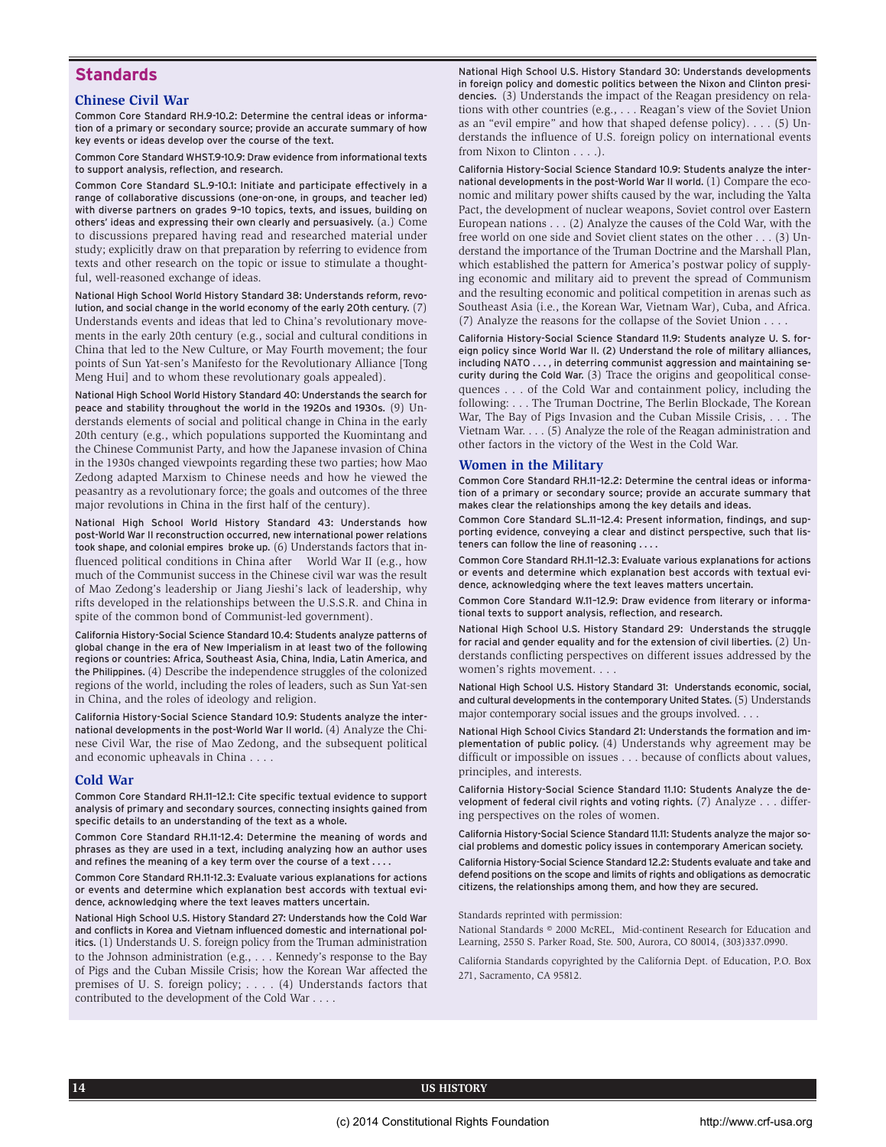## **Standards**

#### **Chinese Civil War**

Common Core Standard RH.9-10.2: Determine the central ideas or information of a primary or secondary source; provide an accurate summary of how key events or ideas develop over the course of the text.

Common Core Standard WHST.9-10.9: Draw evidence from informational texts to support analysis, reflection, and research.

Common Core Standard SL.9-10.1: Initiate and participate effectively in a range of collaborative discussions (one-on-one, in groups, and teacher led) with diverse partners on grades 9–10 topics, texts, and issues, building on others' ideas and expressing their own clearly and persuasively. (a.) Come to discussions prepared having read and researched material under study; explicitly draw on that preparation by referring to evidence from texts and other research on the topic or issue to stimulate a thoughtful, well-reasoned exchange of ideas.

National High School World History Standard 38: Understands reform, revolution, and social change in the world economy of the early 20th century. (7) Understands events and ideas that led to China's revolutionary movements in the early 20th century (e.g., social and cultural conditions in China that led to the New Culture, or May Fourth movement; the four points of Sun Yat-sen's Manifesto for the Revolutionary Alliance [Tong Meng Hui] and to whom these revolutionary goals appealed).

National High School World History Standard 40: Understands the search for peace and stability throughout the world in the 1920s and 1930s. (9) Understands elements of social and political change in China in the early 20th century (e.g., which populations supported the Kuomintang and the Chinese Communist Party, and how the Japanese invasion of China in the 1930s changed viewpoints regarding these two parties; how Mao Zedong adapted Marxism to Chinese needs and how he viewed the peasantry as a revolutionary force; the goals and outcomes of the three major revolutions in China in the first half of the century).

National High School World History Standard 43: Understands how post-World War II reconstruction occurred, new international power relations took shape, and colonial empires broke up. (6) Understands factors that influenced political conditions in China after World War II (e.g., how much of the Communist success in the Chinese civil war was the result of Mao Zedong's leadership or Jiang Jieshi's lack of leadership, why rifts developed in the relationships between the U.S.S.R. and China in spite of the common bond of Communist-led government).

California History-Social Science Standard 10.4: Students analyze patterns of global change in the era of New Imperialism in at least two of the following regions or countries: Africa, Southeast Asia, China, India, Latin America, and the Philippines.(4) Describe the independence struggles of the colonized regions of the world, including the roles of leaders, such as Sun Yat-sen in China, and the roles of ideology and religion.

California History-Social Science Standard 10.9: Students analyze the international developments in the post-World War II world. (4) Analyze the Chinese Civil War, the rise of Mao Zedong, and the subsequent political and economic upheavals in China . . . .

### **Cold War**

Common Core Standard RH.11–12.1: Cite specific textual evidence to support analysis of primary and secondary sources, connecting insights gained from specific details to an understanding of the text as a whole.

Common Core Standard RH.11-12.4: Determine the meaning of words and phrases as they are used in a text, including analyzing how an author uses and refines the meaning of a key term over the course of a text . . . .

Common Core Standard RH.11-12.3: Evaluate various explanations for actions or events and determine which explanation best accords with textual evidence, acknowledging where the text leaves matters uncertain.

National High School U.S. History Standard 27: Understands how the Cold War and conflicts in Korea and Vietnam influenced domestic and international politics. (1) Understands U. S. foreign policy from the Truman administration to the Johnson administration (e.g., . . . Kennedy's response to the Bay of Pigs and the Cuban Missile Crisis; how the Korean War affected the premises of U. S. foreign policy; . . . . (4) Understands factors that contributed to the development of the Cold War . . . .

National High School U.S. History Standard 30: Understands developments in foreign policy and domestic politics between the Nixon and Clinton presidencies. (3) Understands the impact of the Reagan presidency on relations with other countries (e.g., . . . Reagan's view of the Soviet Union as an "evil empire" and how that shaped defense policy). . . . (5) Understands the influence of U.S. foreign policy on international events from Nixon to Clinton . . . .).

California History-Social Science Standard 10.9: Students analyze the international developments in the post-World War II world. (1) Compare the economic and military power shifts caused by the war, including the Yalta Pact, the development of nuclear weapons, Soviet control over Eastern European nations . . . (2) Analyze the causes of the Cold War, with the free world on one side and Soviet client states on the other . . . (3) Understand the importance of the Truman Doctrine and the Marshall Plan, which established the pattern for America's postwar policy of supplying economic and military aid to prevent the spread of Communism and the resulting economic and political competition in arenas such as Southeast Asia (i.e., the Korean War, Vietnam War), Cuba, and Africa. (7) Analyze the reasons for the collapse of the Soviet Union . . . .

California History-Social Science Standard 11.9: Students analyze U. S. foreign policy since World War II. (2) Understand the role of military alliances, including NATO . . . , in deterring communist aggression and maintaining security during the Cold War. (3) Trace the origins and geopolitical consequences . . . of the Cold War and containment policy, including the following: . . . The Truman Doctrine, The Berlin Blockade, The Korean War, The Bay of Pigs Invasion and the Cuban Missile Crisis, . . . The Vietnam War. . . . (5) Analyze the role of the Reagan administration and other factors in the victory of the West in the Cold War.

#### **Women in the Military**

Common Core Standard RH.11–12.2: Determine the central ideas or information of a primary or secondary source; provide an accurate summary that makes clear the relationships among the key details and ideas.

Common Core Standard SL.11–12.4: Present information, findings, and supporting evidence, conveying a clear and distinct perspective, such that listeners can follow the line of reasoning . . . .

Common Core Standard RH.11–12.3: Evaluate various explanations for actions or events and determine which explanation best accords with textual evidence, acknowledging where the text leaves matters uncertain.

Common Core Standard W.11–12.9: Draw evidence from literary or informational texts to support analysis, reflection, and research.

National High School U.S. History Standard 29: Understands the struggle for racial and gender equality and for the extension of civil liberties. (2) Understands conflicting perspectives on different issues addressed by the women's rights movement. . . .

National High School U.S. History Standard 31: Understands economic, social, and cultural developments in the contemporary United States.(5) Understands major contemporary social issues and the groups involved. . . .

National High School Civics Standard 21: Understands the formation and implementation of public policy. (4) Understands why agreement may be difficult or impossible on issues . . . because of conflicts about values, principles, and interests.

California History-Social Science Standard 11.10: Students Analyze the development of federal civil rights and voting rights. (7) Analyze . . . differing perspectives on the roles of women.

California History-Social Science Standard 11.11: Students analyze the major social problems and domestic policy issues in contemporary American society.

California History-Social Science Standard 12.2: Students evaluate and take and defend positions on the scope and limits of rights and obligations as democratic citizens, the relationships among them, and how they are secured.

Standards reprinted with permission:

National Standards © 2000 McREL, Mid-continent Research for Education and Learning, 2550 S. Parker Road, Ste. 500, Aurora, CO 80014, (303)337.0990.

California Standards copyrighted by the California Dept. of Education, P.O. Box 271, Sacramento, CA 95812.